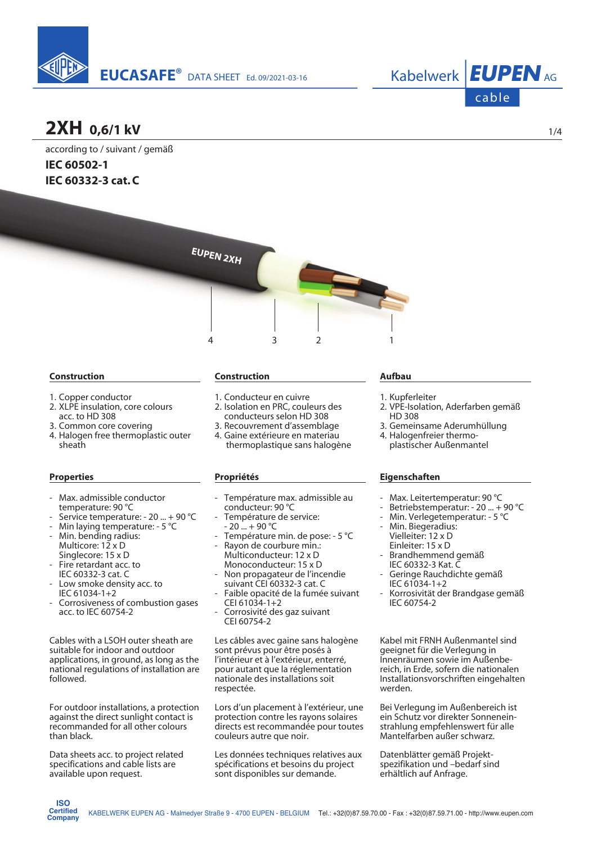



### **2XH 0,6/1 kV**

according to / suivant / gemäß **IEC 60502-1 IEC 60332-3 cat. C**



#### **Construction**

- 1. Copper conductor
- 2. XLPE insulation, core colours acc. to HD 308
- 3. Common core covering
- 4. Halogen free thermoplastic outer sheath

### **Properties**

- Max. admissible conductor temperature: 90 °C
- Service temperature: 20 ... + 90 °C
- Min laying temperature: 5 °C
- Min. bending radius: Multicore: 12 x D Singlecore: 15 x D
- Fire retardant acc. to IEC 60332-3 cat. C
- Low smoke density acc. to IEC 61034-1+2
- Corrosiveness of combustion gases acc. to IEC 60754-2

Cables with a LSOH outer sheath are suitable for indoor and outdoor applications, in ground, as long as the national regulations of installation are followed.

For outdoor installations, a protection against the direct sunlight contact is recommanded for all other colours than black.

Data sheets acc. to project related specifications and cable lists are available upon request.

**ISO Certified Company**

#### **Construction**

- 1. Conducteur en cuivre
- 2. Isolation en PRC, couleurs des conducteurs selon HD 308
- 3. Recouvrement d'assemblage
- 4. Gaine extérieure en materiau thermoplastique sans halogène

### **Propriétés**

- Température max. admissible au conducteur: 90 °C
- Température de service:  $20 - + 90$  °C
- Température min. de pose: 5 °C
- Rayon de courbure min.: Multiconducteur: 12 x D Monoconducteur: 15 x D Non propagateur de l'incendie
- suivant CEI 60332-3 cat. C Faible opacité de la fumée suivant
- CEI 61034-1+2 Corrosivité des gaz suivant
- CEI 60754-2

Les câbles avec gaine sans halogène sont prévus pour être posés à l'intérieur et à l'extérieur, enterré, pour autant que la réglementation nationale des installations soit respectée.

Lors d'un placement à l'extérieur, une protection contre les rayons solaires directs est recommandée pour toutes couleurs autre que noir.

Les données techniques relatives aux spécifications et besoins du project sont disponibles sur demande.

#### **Aufbau**

- 1. Kupferleiter
- 2. VPE-Isolation, Aderfarben gemäß HD 308
- 3. Gemeinsame Aderumhüllung
- 4. Halogenfreier thermo plastischer Außenmantel

### **Eigenschaften**

- Max. Leitertemperatur: 90 °C
- Betriebstemperatur: 20 ... + 90 °C
- Min. Verlegetemperatur: 5 °C
- Min. Biegeradius: Vielleiter: 12 x D Einleiter: 15 x D
- Brandhemmend gemäß IEC 60332-3 Kat. C
- Geringe Rauchdichte gemäß IEC 61034-1+2
- Korrosivität der Brandgase gemäß IEC 60754-2

Kabel mit FRNH Außenmantel sind geeignet für die Verlegung in Innenräumen sowie im Außenbereich, in Erde, sofern die nationalen Installationsvorschriften eingehalten werden.

Bei Verlegung im Außenbereich ist ein Schutz vor direkter Sonnenein strahlung empfehlenswert für alle Mantelfarben außer schwarz.

Datenblätter gemäß Projektspezifikation und -bedarf sind erhältlich auf Anfrage.

1/4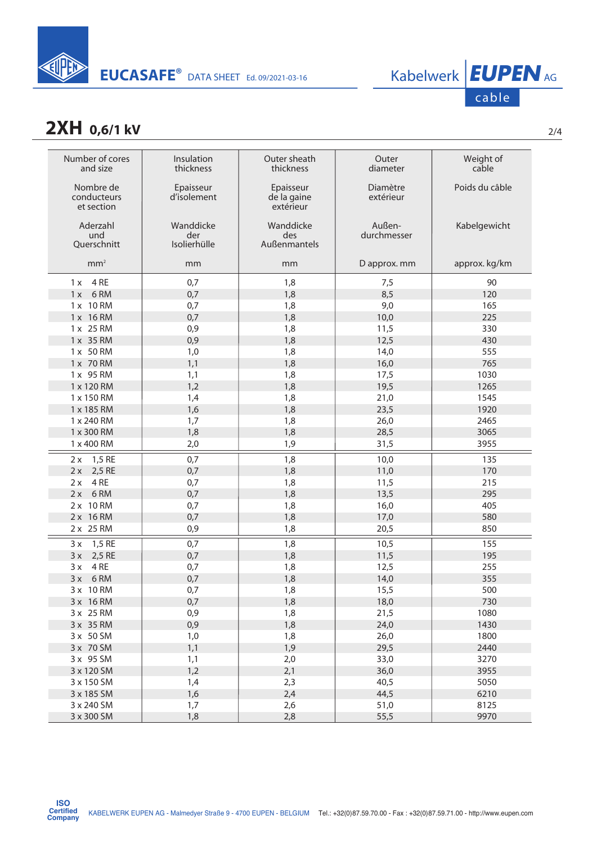

### **2XH** 0,6/1 kV

| Number of cores<br>Outer sheath<br>Insulation<br>Outer<br>Weight of<br>cable<br>and size<br>thickness<br>thickness<br>diameter<br>Nombre de<br>Diamètre<br>Poids du câble<br>Epaisseur<br>Epaisseur<br>d'isolement<br>conducteurs<br>de la gaine<br>extérieur<br>et section<br>extérieur<br>Außen-<br>Aderzahl<br>Wanddicke<br>Wanddicke<br>Kabelgewicht<br>durchmesser<br>der<br>des<br>und<br>Isolierhülle<br>Querschnitt<br>Außenmantels<br>mm <sup>2</sup><br>approx. kg/km<br>D approx. mm<br>mm<br>mm<br>$1x$ 4 RE<br>0,7<br>1,8<br>90<br>7,5<br>$1x$ 6 RM<br>0,7<br>1,8<br>8,5<br>120<br>9,0<br>1 x 10 RM<br>0,7<br>1,8<br>165<br>1 x 16 RM<br>0,7<br>10,0<br>225<br>1,8<br>0,9<br>1,8<br>11,5<br>330<br>1 x 25 RM<br>1 x 35 RM<br>12,5<br>0,9<br>1,8<br>430<br>1,0<br>1,8<br>14,0<br>555<br>1 x 50 RM<br>1,8<br>765<br>1 x 70 RM<br>1,1<br>16,0<br>1030<br>1 x 95 RM<br>1,1<br>1,8<br>17,5<br>1,2<br>1,8<br>19,5<br>1265<br>1 x 120 RM<br>1,8<br>1 x 150 RM<br>1,4<br>21,0<br>1545<br>1920<br>23,5<br>1 x 185 RM<br>1,6<br>1,8<br>1 x 240 RM<br>2465<br>1,7<br>1,8<br>26,0<br>1 x 300 RM<br>3065<br>1,8<br>1,8<br>28,5<br>1 x 400 RM<br>1,9<br>31,5<br>3955<br>2,0<br>1,5 RE<br>0,7<br>1,8<br>10,0<br>135<br>2x<br>2,5 RE<br>0,7<br>1,8<br>170<br>11,0<br>2x<br>4RE<br>0,7<br>215<br>1,8<br>11,5<br>2x<br>6RM<br>13,5<br>295<br>0,7<br>1,8<br>2x<br>2 x 10 RM<br>405<br>0,7<br>1,8<br>16,0<br>2 x 16 RM<br>580<br>0,7<br>1,8<br>17,0<br>2 x 25 RM<br>850<br>1,8<br>20,5<br>0,9 |
|----------------------------------------------------------------------------------------------------------------------------------------------------------------------------------------------------------------------------------------------------------------------------------------------------------------------------------------------------------------------------------------------------------------------------------------------------------------------------------------------------------------------------------------------------------------------------------------------------------------------------------------------------------------------------------------------------------------------------------------------------------------------------------------------------------------------------------------------------------------------------------------------------------------------------------------------------------------------------------------------------------------------------------------------------------------------------------------------------------------------------------------------------------------------------------------------------------------------------------------------------------------------------------------------------------------------------------------------------------------------------------------------------------------------------------------------------------------------------------------|
|                                                                                                                                                                                                                                                                                                                                                                                                                                                                                                                                                                                                                                                                                                                                                                                                                                                                                                                                                                                                                                                                                                                                                                                                                                                                                                                                                                                                                                                                                        |
|                                                                                                                                                                                                                                                                                                                                                                                                                                                                                                                                                                                                                                                                                                                                                                                                                                                                                                                                                                                                                                                                                                                                                                                                                                                                                                                                                                                                                                                                                        |
|                                                                                                                                                                                                                                                                                                                                                                                                                                                                                                                                                                                                                                                                                                                                                                                                                                                                                                                                                                                                                                                                                                                                                                                                                                                                                                                                                                                                                                                                                        |
|                                                                                                                                                                                                                                                                                                                                                                                                                                                                                                                                                                                                                                                                                                                                                                                                                                                                                                                                                                                                                                                                                                                                                                                                                                                                                                                                                                                                                                                                                        |
|                                                                                                                                                                                                                                                                                                                                                                                                                                                                                                                                                                                                                                                                                                                                                                                                                                                                                                                                                                                                                                                                                                                                                                                                                                                                                                                                                                                                                                                                                        |
|                                                                                                                                                                                                                                                                                                                                                                                                                                                                                                                                                                                                                                                                                                                                                                                                                                                                                                                                                                                                                                                                                                                                                                                                                                                                                                                                                                                                                                                                                        |
|                                                                                                                                                                                                                                                                                                                                                                                                                                                                                                                                                                                                                                                                                                                                                                                                                                                                                                                                                                                                                                                                                                                                                                                                                                                                                                                                                                                                                                                                                        |
|                                                                                                                                                                                                                                                                                                                                                                                                                                                                                                                                                                                                                                                                                                                                                                                                                                                                                                                                                                                                                                                                                                                                                                                                                                                                                                                                                                                                                                                                                        |
|                                                                                                                                                                                                                                                                                                                                                                                                                                                                                                                                                                                                                                                                                                                                                                                                                                                                                                                                                                                                                                                                                                                                                                                                                                                                                                                                                                                                                                                                                        |
|                                                                                                                                                                                                                                                                                                                                                                                                                                                                                                                                                                                                                                                                                                                                                                                                                                                                                                                                                                                                                                                                                                                                                                                                                                                                                                                                                                                                                                                                                        |
|                                                                                                                                                                                                                                                                                                                                                                                                                                                                                                                                                                                                                                                                                                                                                                                                                                                                                                                                                                                                                                                                                                                                                                                                                                                                                                                                                                                                                                                                                        |
|                                                                                                                                                                                                                                                                                                                                                                                                                                                                                                                                                                                                                                                                                                                                                                                                                                                                                                                                                                                                                                                                                                                                                                                                                                                                                                                                                                                                                                                                                        |
|                                                                                                                                                                                                                                                                                                                                                                                                                                                                                                                                                                                                                                                                                                                                                                                                                                                                                                                                                                                                                                                                                                                                                                                                                                                                                                                                                                                                                                                                                        |
|                                                                                                                                                                                                                                                                                                                                                                                                                                                                                                                                                                                                                                                                                                                                                                                                                                                                                                                                                                                                                                                                                                                                                                                                                                                                                                                                                                                                                                                                                        |
|                                                                                                                                                                                                                                                                                                                                                                                                                                                                                                                                                                                                                                                                                                                                                                                                                                                                                                                                                                                                                                                                                                                                                                                                                                                                                                                                                                                                                                                                                        |
|                                                                                                                                                                                                                                                                                                                                                                                                                                                                                                                                                                                                                                                                                                                                                                                                                                                                                                                                                                                                                                                                                                                                                                                                                                                                                                                                                                                                                                                                                        |
|                                                                                                                                                                                                                                                                                                                                                                                                                                                                                                                                                                                                                                                                                                                                                                                                                                                                                                                                                                                                                                                                                                                                                                                                                                                                                                                                                                                                                                                                                        |
|                                                                                                                                                                                                                                                                                                                                                                                                                                                                                                                                                                                                                                                                                                                                                                                                                                                                                                                                                                                                                                                                                                                                                                                                                                                                                                                                                                                                                                                                                        |
|                                                                                                                                                                                                                                                                                                                                                                                                                                                                                                                                                                                                                                                                                                                                                                                                                                                                                                                                                                                                                                                                                                                                                                                                                                                                                                                                                                                                                                                                                        |
|                                                                                                                                                                                                                                                                                                                                                                                                                                                                                                                                                                                                                                                                                                                                                                                                                                                                                                                                                                                                                                                                                                                                                                                                                                                                                                                                                                                                                                                                                        |
|                                                                                                                                                                                                                                                                                                                                                                                                                                                                                                                                                                                                                                                                                                                                                                                                                                                                                                                                                                                                                                                                                                                                                                                                                                                                                                                                                                                                                                                                                        |
|                                                                                                                                                                                                                                                                                                                                                                                                                                                                                                                                                                                                                                                                                                                                                                                                                                                                                                                                                                                                                                                                                                                                                                                                                                                                                                                                                                                                                                                                                        |
|                                                                                                                                                                                                                                                                                                                                                                                                                                                                                                                                                                                                                                                                                                                                                                                                                                                                                                                                                                                                                                                                                                                                                                                                                                                                                                                                                                                                                                                                                        |
|                                                                                                                                                                                                                                                                                                                                                                                                                                                                                                                                                                                                                                                                                                                                                                                                                                                                                                                                                                                                                                                                                                                                                                                                                                                                                                                                                                                                                                                                                        |
|                                                                                                                                                                                                                                                                                                                                                                                                                                                                                                                                                                                                                                                                                                                                                                                                                                                                                                                                                                                                                                                                                                                                                                                                                                                                                                                                                                                                                                                                                        |
|                                                                                                                                                                                                                                                                                                                                                                                                                                                                                                                                                                                                                                                                                                                                                                                                                                                                                                                                                                                                                                                                                                                                                                                                                                                                                                                                                                                                                                                                                        |
|                                                                                                                                                                                                                                                                                                                                                                                                                                                                                                                                                                                                                                                                                                                                                                                                                                                                                                                                                                                                                                                                                                                                                                                                                                                                                                                                                                                                                                                                                        |
| 1,5 RE<br>0,7<br>1,8<br>10,5<br>155<br>3x                                                                                                                                                                                                                                                                                                                                                                                                                                                                                                                                                                                                                                                                                                                                                                                                                                                                                                                                                                                                                                                                                                                                                                                                                                                                                                                                                                                                                                              |
| 2,5 RE<br>0,7<br>1,8<br>11,5<br>3x<br>195                                                                                                                                                                                                                                                                                                                                                                                                                                                                                                                                                                                                                                                                                                                                                                                                                                                                                                                                                                                                                                                                                                                                                                                                                                                                                                                                                                                                                                              |
| 4RE<br>255<br>0,7<br>1,8<br>12,5<br>3x                                                                                                                                                                                                                                                                                                                                                                                                                                                                                                                                                                                                                                                                                                                                                                                                                                                                                                                                                                                                                                                                                                                                                                                                                                                                                                                                                                                                                                                 |
| 6RM<br>0,7<br>1,8<br>14,0<br>355<br>3x                                                                                                                                                                                                                                                                                                                                                                                                                                                                                                                                                                                                                                                                                                                                                                                                                                                                                                                                                                                                                                                                                                                                                                                                                                                                                                                                                                                                                                                 |
| 500<br>3 x 10 RM<br>0,7<br>1,8<br>15,5                                                                                                                                                                                                                                                                                                                                                                                                                                                                                                                                                                                                                                                                                                                                                                                                                                                                                                                                                                                                                                                                                                                                                                                                                                                                                                                                                                                                                                                 |
| 0,7<br>1,8<br>730<br>3 x 16 RM<br>18,0                                                                                                                                                                                                                                                                                                                                                                                                                                                                                                                                                                                                                                                                                                                                                                                                                                                                                                                                                                                                                                                                                                                                                                                                                                                                                                                                                                                                                                                 |
| 1080<br>0,9<br>1,8<br>21,5<br>3 x 25 RM                                                                                                                                                                                                                                                                                                                                                                                                                                                                                                                                                                                                                                                                                                                                                                                                                                                                                                                                                                                                                                                                                                                                                                                                                                                                                                                                                                                                                                                |
| 3 x 35 RM<br>1430<br>0,9<br>1,8<br>24,0                                                                                                                                                                                                                                                                                                                                                                                                                                                                                                                                                                                                                                                                                                                                                                                                                                                                                                                                                                                                                                                                                                                                                                                                                                                                                                                                                                                                                                                |
| 1800<br>3 x 50 SM<br>1,0<br>1,8<br>26,0                                                                                                                                                                                                                                                                                                                                                                                                                                                                                                                                                                                                                                                                                                                                                                                                                                                                                                                                                                                                                                                                                                                                                                                                                                                                                                                                                                                                                                                |
| 2440<br>3 x 70 SM<br>1,1<br>1,9<br>29,5                                                                                                                                                                                                                                                                                                                                                                                                                                                                                                                                                                                                                                                                                                                                                                                                                                                                                                                                                                                                                                                                                                                                                                                                                                                                                                                                                                                                                                                |
| 2,0<br>33,0<br>3270<br>3 x 95 SM<br>1,1                                                                                                                                                                                                                                                                                                                                                                                                                                                                                                                                                                                                                                                                                                                                                                                                                                                                                                                                                                                                                                                                                                                                                                                                                                                                                                                                                                                                                                                |
| 3955<br>1,2<br>2,1<br>36,0<br>3 x 120 SM                                                                                                                                                                                                                                                                                                                                                                                                                                                                                                                                                                                                                                                                                                                                                                                                                                                                                                                                                                                                                                                                                                                                                                                                                                                                                                                                                                                                                                               |
| 2,3<br>5050<br>1,4<br>40,5<br>3 x 150 SM                                                                                                                                                                                                                                                                                                                                                                                                                                                                                                                                                                                                                                                                                                                                                                                                                                                                                                                                                                                                                                                                                                                                                                                                                                                                                                                                                                                                                                               |
| 44,5<br>3 x 185 SM<br>1,6<br>2,4<br>6210                                                                                                                                                                                                                                                                                                                                                                                                                                                                                                                                                                                                                                                                                                                                                                                                                                                                                                                                                                                                                                                                                                                                                                                                                                                                                                                                                                                                                                               |
| 51,0<br>8125<br>3 x 240 SM<br>1,7<br>2,6                                                                                                                                                                                                                                                                                                                                                                                                                                                                                                                                                                                                                                                                                                                                                                                                                                                                                                                                                                                                                                                                                                                                                                                                                                                                                                                                                                                                                                               |
| 9970<br>3 x 300 SM<br>2,8<br>55,5<br>1,8                                                                                                                                                                                                                                                                                                                                                                                                                                                                                                                                                                                                                                                                                                                                                                                                                                                                                                                                                                                                                                                                                                                                                                                                                                                                                                                                                                                                                                               |

cable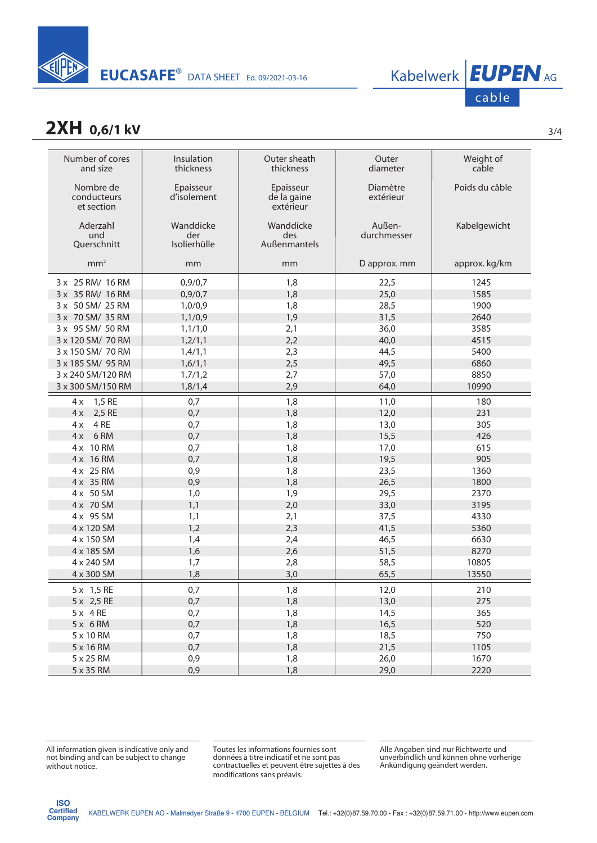

# cable

### **2XH 0,6/1 kV** 3/4

| Number of cores<br>and size            | Insulation<br>thickness          | Outer sheath<br>thickness             | Outer<br>diameter     | Weight of<br>cable |
|----------------------------------------|----------------------------------|---------------------------------------|-----------------------|--------------------|
| Nombre de<br>conducteurs<br>et section | Epaisseur<br>d'isolement         | Epaisseur<br>de la gaine<br>extérieur | Diamètre<br>extérieur | Poids du câble     |
| Aderzahl<br>und<br>Querschnitt         | Wanddicke<br>der<br>Isolierhülle | Wanddicke<br>des<br>Außenmantels      | Außen-<br>durchmesser | Kabelgewicht       |
| mm <sup>2</sup>                        | mm                               | mm                                    | D approx. mm          | approx. kg/km      |
| 3 x 25 RM/ 16 RM                       | 0,9/0,7                          | 1,8                                   | 22,5                  | 1245               |
| 3 x 35 RM/ 16 RM                       | 0,9/0,7                          | 1,8                                   | 25,0                  | 1585               |
| 3 x 50 SM/ 25 RM                       | 1,0/0,9                          | 1,8                                   | 28,5                  | 1900               |
| 3 x 70 SM/ 35 RM                       | 1,1/0,9                          | 1,9                                   | 31,5                  | 2640               |
| 3 x 95 SM/ 50 RM                       | 1, 1/1, 0                        | 2,1                                   | 36,0                  | 3585               |
| 3 x 120 SM/ 70 RM                      | 1,2/1,1                          | 2,2                                   | 40,0                  | 4515               |
| 3 x 150 SM/ 70 RM                      | 1,4/1,1                          | 2,3                                   | 44,5                  | 5400               |
| 3 x 185 SM/ 95 RM                      | 1,6/1,1                          | 2,5                                   | 49,5                  | 6860               |
| 3 x 240 SM/120 RM                      | 1,7/1,2                          | 2,7                                   | 57,0                  | 8850               |
| 3 x 300 SM/150 RM                      | 1,8/1,4                          | 2,9                                   | 64,0                  | 10990              |
| 1,5 RE<br>4x                           | 0,7                              | 1,8                                   | 11,0                  | 180                |
| 2,5 RE<br>4x                           | 0,7                              | 1,8                                   | 12,0                  | 231                |
| 4 RE<br>4x                             | 0,7                              | 1,8                                   | 13,0                  | 305                |
| $4x$ 6 RM                              | 0,7                              | 1,8                                   | 15,5                  | 426                |
| 4 x 10 RM                              | 0,7                              | 1,8                                   | 17,0                  | 615                |
| 4 x 16 RM                              | 0,7                              | 1,8                                   | 19,5                  | 905                |
| 4 x 25 RM                              | 0,9                              | 1,8                                   | 23,5                  | 1360               |
| 4 x 35 RM                              | 0,9                              | 1,8                                   | 26,5                  | 1800               |
| 4 x 50 SM                              | 1,0                              | 1,9                                   | 29,5                  | 2370               |
| 4 x 70 SM                              | 1,1                              | 2,0                                   | 33,0                  | 3195               |
| 4 x 95 SM                              | 1,1                              | 2,1                                   | 37,5                  | 4330               |
| 4 x 120 SM                             | 1,2                              | 2,3                                   | 41,5                  | 5360               |
| 4 x 150 SM                             | 1,4                              | 2,4                                   | 46,5                  | 6630               |
| 4 x 185 SM                             | 1,6                              | 2,6                                   | 51,5                  | 8270               |
| 4 x 240 SM                             | 1,7                              | 2,8                                   | 58,5                  | 10805              |
| 4 x 300 SM                             | 1,8                              | 3,0                                   | 65,5                  | 13550              |
| 5 x 1,5 RE                             | 0,7                              | 1,8                                   | 12,0                  | 210                |
| 5 x 2,5 RE                             | 0,7                              | 1,8                                   | 13,0                  | 275                |
| $5x$ 4RE                               | 0,7                              | 1,8                                   | 14,5                  | 365                |
| $5x$ 6 RM                              | 0,7                              | 1,8                                   | 16,5                  | 520                |
| 5 x 10 RM                              | 0,7                              | 1,8                                   | 18,5                  | 750                |
| 5 x 16 RM                              | 0,7                              | 1,8                                   | 21,5                  | 1105               |
| 5 x 25 RM                              | 0,9                              | 1,8                                   | 26,0                  | 1670               |
| 5 x 35 RM                              | 0,9                              | 1,8                                   | 29,0                  | 2220               |

Toutes les informations fournies sont données à titre indicatif et ne sont pas contractuelles et peuvent être sujettes à des modifications sans préavis.

Alle Angaben sind nur Richtwerte und unverbindlich und können ohne vorherige Ankündigung geändert werden.